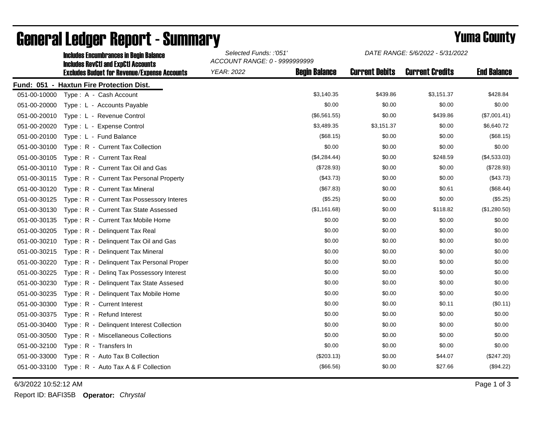|              | <b>Includes Encumbrances in Begin Balance</b><br><b>Includes RevCtI and ExpCtI Accounts</b><br><b>Excludes Budget for Revenue/Expense Accounts</b> | Selected Funds: :'051'<br>ACCOUNT RANGE: 0 - 9999999999 |                      | DATE RANGE: 5/6/2022 - 5/31/2022 |                        |                    |
|--------------|----------------------------------------------------------------------------------------------------------------------------------------------------|---------------------------------------------------------|----------------------|----------------------------------|------------------------|--------------------|
|              |                                                                                                                                                    | <b>YEAR: 2022</b>                                       | <b>Begin Balance</b> | <b>Current Debits</b>            | <b>Current Credits</b> | <b>End Balance</b> |
|              | Fund: 051 - Haxtun Fire Protection Dist.                                                                                                           |                                                         |                      |                                  |                        |                    |
| 051-00-10000 | Type: A - Cash Account                                                                                                                             |                                                         | \$3,140.35           | \$439.86                         | \$3,151.37             | \$428.84           |
| 051-00-20000 | Type: L - Accounts Payable                                                                                                                         |                                                         | \$0.00               | \$0.00                           | \$0.00                 | \$0.00             |
| 051-00-20010 | Type: L - Revenue Control                                                                                                                          |                                                         | (\$6,561.55)         | \$0.00                           | \$439.86               | (\$7,001.41)       |
| 051-00-20020 | Type: L - Expense Control                                                                                                                          |                                                         | \$3,489.35           | \$3,151.37                       | \$0.00                 | \$6,640.72         |
| 051-00-20100 | Type: L - Fund Balance                                                                                                                             |                                                         | (\$68.15)            | \$0.00                           | \$0.00                 | (\$68.15)          |
| 051-00-30100 | Type: R - Current Tax Collection                                                                                                                   |                                                         | \$0.00               | \$0.00                           | \$0.00                 | \$0.00             |
| 051-00-30105 | Type: R - Current Tax Real                                                                                                                         |                                                         | (\$4,284.44)         | \$0.00                           | \$248.59               | (\$4,533.03)       |
| 051-00-30110 | Type: R - Current Tax Oil and Gas                                                                                                                  |                                                         | (\$728.93)           | \$0.00                           | \$0.00                 | (\$728.93)         |
| 051-00-30115 | Type: R - Current Tax Personal Property                                                                                                            |                                                         | (\$43.73)            | \$0.00                           | \$0.00                 | (\$43.73)          |
| 051-00-30120 | Type: R - Current Tax Mineral                                                                                                                      |                                                         | (\$67.83)            | \$0.00                           | \$0.61                 | (\$68.44)          |
| 051-00-30125 | Type: R - Current Tax Possessory Interes                                                                                                           |                                                         | (\$5.25)             | \$0.00                           | \$0.00                 | (\$5.25)           |
| 051-00-30130 | Type: R - Current Tax State Assessed                                                                                                               |                                                         | (\$1,161.68)         | \$0.00                           | \$118.82               | (\$1,280.50)       |
| 051-00-30135 | Type: R - Current Tax Mobile Home                                                                                                                  |                                                         | \$0.00               | \$0.00                           | \$0.00                 | \$0.00             |
| 051-00-30205 | Type: R - Delinquent Tax Real                                                                                                                      |                                                         | \$0.00               | \$0.00                           | \$0.00                 | \$0.00             |
| 051-00-30210 | Type: R - Delinquent Tax Oil and Gas                                                                                                               |                                                         | \$0.00               | \$0.00                           | \$0.00                 | \$0.00             |
| 051-00-30215 | Type: R - Delinquent Tax Mineral                                                                                                                   |                                                         | \$0.00               | \$0.00                           | \$0.00                 | \$0.00             |
| 051-00-30220 | Type: R - Delinquent Tax Personal Proper                                                                                                           |                                                         | \$0.00               | \$0.00                           | \$0.00                 | \$0.00             |
| 051-00-30225 | Type: R - Deling Tax Possessory Interest                                                                                                           |                                                         | \$0.00               | \$0.00                           | \$0.00                 | \$0.00             |
| 051-00-30230 | Type: R - Delinquent Tax State Assesed                                                                                                             |                                                         | \$0.00               | \$0.00                           | \$0.00                 | \$0.00             |
| 051-00-30235 | Type: R - Delinquent Tax Mobile Home                                                                                                               |                                                         | \$0.00               | \$0.00                           | \$0.00                 | \$0.00             |
| 051-00-30300 | Type: R - Current Interest                                                                                                                         |                                                         | \$0.00               | \$0.00                           | \$0.11                 | (\$0.11)           |
| 051-00-30375 | Type: R - Refund Interest                                                                                                                          |                                                         | \$0.00               | \$0.00                           | \$0.00                 | \$0.00             |
| 051-00-30400 | Type: R - Delinquent Interest Collection                                                                                                           |                                                         | \$0.00               | \$0.00                           | \$0.00                 | \$0.00             |
| 051-00-30500 | Type: R - Miscellaneous Collections                                                                                                                |                                                         | \$0.00               | \$0.00                           | \$0.00                 | \$0.00             |
| 051-00-32100 | Type: R - Transfers In                                                                                                                             |                                                         | \$0.00               | \$0.00                           | \$0.00                 | \$0.00             |
| 051-00-33000 | Type: R - Auto Tax B Collection                                                                                                                    |                                                         | $(\$203.13)$         | \$0.00                           | \$44.07                | (\$247.20)         |
| 051-00-33100 | Type: R - Auto Tax A & F Collection                                                                                                                |                                                         | (\$66.56)            | \$0.00                           | \$27.66                | (\$94.22)          |

## General Ledger Report - Summary **Example 2018** Yuma County

6/3/2022 10:52:12 AM Page 1 of 3

Report ID: BAFI35B **Operator:** *Chrystal*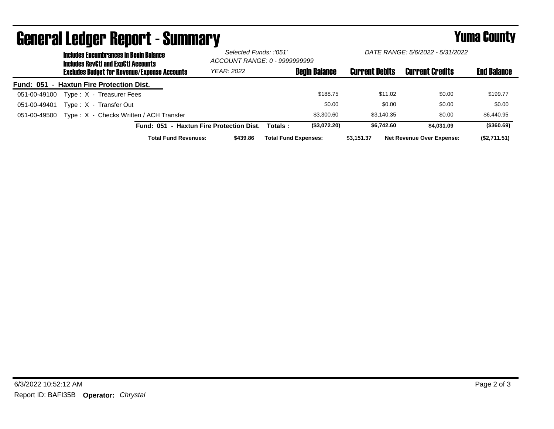|                                          | <b>Includes Encumbrances in Begin Balance</b><br><b>Includes RevCtI and ExpCtI Accounts</b> | Selected Funds: :'051'<br>ACCOUNT RANGE: 0 - 9999999999 |            | DATE RANGE: 5/6/2022 - 5/31/2022 |                      |                       |                                  |                    |
|------------------------------------------|---------------------------------------------------------------------------------------------|---------------------------------------------------------|------------|----------------------------------|----------------------|-----------------------|----------------------------------|--------------------|
|                                          |                                                                                             | <b>Excludes Budget for Revenue/Expense Accounts</b>     | YEAR: 2022 |                                  | <b>Begin Balance</b> | <b>Current Debits</b> | <b>Current Credits</b>           | <b>End Balance</b> |
| Fund: 051 - Haxtun Fire Protection Dist. |                                                                                             |                                                         |            |                                  |                      |                       |                                  |                    |
| 051-00-49100                             |                                                                                             | Type: X - Treasurer Fees                                |            |                                  | \$188.75             | \$11.02               | \$0.00                           | \$199.77           |
| 051-00-49401                             |                                                                                             | Type: X - Transfer Out                                  |            |                                  | \$0.00               | \$0.00                | \$0.00                           | \$0.00             |
| 051-00-49500                             |                                                                                             | Type: X - Checks Written / ACH Transfer                 |            |                                  | \$3,300.60           | \$3.140.35            | \$0.00                           | \$6,440.95         |
|                                          |                                                                                             | Fund: 051 - Haxtun Fire Protection Dist.                |            | Totals :                         | (\$3,072.20)         | \$6.742.60            | \$4,031.09                       | (\$360.69)         |
|                                          |                                                                                             | <b>Total Fund Revenues:</b>                             | \$439.86   | <b>Total Fund Expenses:</b>      |                      | \$3,151.37            | <b>Net Revenue Over Expense:</b> | (\$2,711.51)       |

## General Ledger Report - Summary **Example 2018** Yuma County